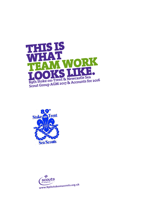



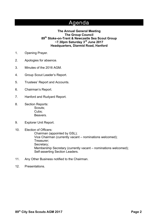## Agenda

### **The Annual General Meeting The Group Council 89th Stoke-on-Trent & Newcastle Sea Scout Group ~7.30pm Saturday 3rd June 2017 Headquarters, Diarmid Road, Hanford**

- 1. Opening Prayer.
- 2. Apologies for absence.
- 3. Minutes of the 2016 AGM.
- 4. Group Scout Leader's Report.
- 5. Trustees' Report and Accounts.
- 6. Chairman's Report.
- 7. Hanford and Rudyard Report.
- 8. Section Reports: Scouts; Cubs; Beavers.
- 9. Explorer Unit Report.
- 10. Election of Officers:

Chairman (appointed by GSL); Vice Chairman (currently vacant – nominations welcomed); Treasurer; Secretary; Membership Secretary (currently vacant – nominations welcomed); Self-asserting Section Leaders.

- 11. Any Other Business notified to the Chairman.
- 12. Presentations.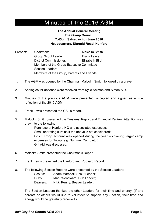# Minutes of the 2016 AGM

### **The Annual General Meeting The Group Council 7:45pm Saturday 4th June 2016 Headquarters, Diarmid Road, Hanford**

- Present: Chairman: Malcolm Smith Group Scout Leader: Frank Lewis District Commissioner: Elizabeth Birch Members of the Group Executive Committee Section Leaders Members of the Group, Parents and Friends
- 1. The AGM was opened by the Chairman Malcolm Smith, followed by a prayer.
- 2. Apologies for absence were received from Kylie Salmon and Simon Ault.
- 3. Minutes of the previous AGM were presented, accepted and signed as a true reflection of the 2015 AGM.
- 4. Frank Lewis presented the GSL's report.
- 5. Malcolm Smith presented the Trustees' Report and Financial Review. Attention was drawn to the following:

Purchase of Hanford HQ and associated expenses; Small operating surplus if the above is not considered; Scout Troop account was opened during the year – covering larger camp expenses for Troop (e.g. Summer Camp etc.); Gift Aid was discussed.

- 6. Malcolm Smith presented the Chairman's Report.
- 7. Frank Lewis presented the Hanford and Rudyard Report.
- 8. The following Section Reports were presented by the Section Leaders:
	- Scouts: Adam Marshall, Scout Leader;
	- Cubs: Mark Woodward, Cub Leader;
	- Beavers: Nikki Kenny, Beaver Leader.

The Section Leaders thanked the other Leaders for their time and energy. (If any parents or others would like to volunteer to support any Section, their time and energy would be gratefully received.)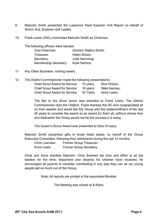- 9. Malcolm Smith presented the Lawrence Fleet Explorer Unit Report on behalf of Simon Ault, Explorer Unit Leader.
- 10. Frank Lewis (GSL) nominated Malcolm Smith as Chairman.

The following officers were elected:

| Vice-Chairman:               | <b>Quinton Watton-Smith;</b> |
|------------------------------|------------------------------|
| Treasurer:                   | Helen Brown;                 |
| Secretary:                   | Julie Hemming;               |
| <b>Membership Secretary:</b> | Kylie Salmon.                |

- 11. Any Other Business: nothing raised.
- 12. The District Commissioner made the following presentations:

| <b>Chief Scout Award for Service</b> | 10 years | Nick Dicken:  |
|--------------------------------------|----------|---------------|
| <b>Chief Scout Award for Service</b> | 10 years | Nikki Kenney; |
| <b>Chief Scout Award for Service</b> | 30 Years | Anne Lewis.   |

The Bar to the Silver Acorn was awarded to Frank Lewis. The District Commissioner read the Citation. Frank thanked the DC and congratulated all on their awards and would like the Group and the leaders/officers of the last 40 years to consider the award as an award for them all, without whose time and dedication the Group would not be the success it is today.

The Queen's Scout Award was presented to Sara O'Leary.

Malcolm Smith presented gifts to those listed below, on behalf of the Group Executive Committee, following their retirements during the last 12 months:

Chris Lowndes Former Group Treasurer;

Anne Lewis Former Group Secretary.

Chris and Anne thanked Malcolm. Chris thanked the time and effort of all the leaders for the time, enjoyment and rewards his children have received; he encouraged all parents to consider contributing in any way they can as our young people get so much out of the Group.

Note: All reports are printed in the associated Booklet.

The Meeting was closed at 8:45pm.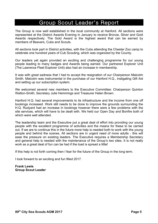## Group Scout Leader's Report

The Group is now well established in the local community at Hanford. All sections were represented at the District Awards Evening in January to receive Bronze, Silver and Gold Awards respectively. The Gold Award is the highest award that can be earned by members of Beavers, Cubs and Scouts.

All sections took part in District activities, with the Cubs attending the Chester Zoo camp to celebrate one hundred years of Cub Scouting, which was organized by the County.

Our leaders yet again provided an exciting and challenging programme for our young people leading to many badges and Awards being earned. Our partnered Explorer Unit (The Lawrence Fleet Explorer Unit) also had an increase in membership.

It was with great sadness that I had to accept the resignation of our Chairperson Malcolm Smith. Malcolm was instrumental in the purchase of our Hanford H.Q., instigating Gift Aid and setting up our subscription system.

We welcomed several new members to the Executive Committee: Chairperson Quinton Watton-Smith, Secretary Julie Hemmings and Treasurer Helen Brown.

Hanford H.Q. had several improvements to its infrastructure and the income from one off bookings increased. Work still needs to be done to improve the grounds surrounding the H.Q. Rudyard had an increase in bookings however there were a few problems with the site services, which will have to be dealt with. We held our Open Day and Bonfire both of which were well attended.

The leadership team and the Executive put a great deal of effort into providing our young people with the excellent programme of activities and the means for these to be carried out. If we are to continue this in the future more help is needed both to work with the young people and behind the scenes. All sections are in urgent need of more adults - this will ease the pressure on existing leaders. The Executive requires a Membership Secretary and general help is needed with the maintenance of the Group's two sites. It is not really work as a great deal of fun can be had if the load is spread a little!

If this help is not forth coming then I fear for the future of the Group in the long term.

I look forward to an exciting and fun filled 2017.

**Frank Lewis Group Scout Leader**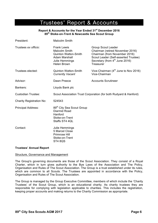## Trustees' Report & Accounts

### **Report & Accounts for the Year Ended 31st December 2016 89th Stoke-on-Trent & Newcastle Sea Scout Group**

| President:                      | <b>Malcolm Smith</b>                                                                                                                      |                                                                                                                                                                                                   |  |
|---------------------------------|-------------------------------------------------------------------------------------------------------------------------------------------|---------------------------------------------------------------------------------------------------------------------------------------------------------------------------------------------------|--|
| Trustees ex officio:            | <b>Frank Lewis</b><br><b>Malcolm Smith</b><br><b>Quinton Watton-Smith</b><br><b>Adam Marshall</b><br>Julie Hemmings<br><b>Helen Brown</b> | <b>Group Scout Leader</b><br>Chairman (retired November 2016)<br>Chairman (from November 2016)<br>Scout Leader (Self-asserted Trustee)<br>Secretary (from 4 <sup>th</sup> June 2016)<br>Treasurer |  |
| Trustees elected:               | <b>Quinton Watton-Smith</b><br><b>Currently Vacant</b>                                                                                    | Vice-Chairman $(4th$ June to Nov 2016)<br>Vice-Chairman                                                                                                                                           |  |
| Advisor:                        | Dawn Preece                                                                                                                               | <b>Accounts Scrutineer</b>                                                                                                                                                                        |  |
| Bankers:                        | Lloyds Bank plc                                                                                                                           |                                                                                                                                                                                                   |  |
| <b>Custodian Trustee:</b>       | Scout Association Trust Corporation (for both Rudyard & Hanford)                                                                          |                                                                                                                                                                                                   |  |
| <b>Charity Registration No:</b> | 524543                                                                                                                                    |                                                                                                                                                                                                   |  |
| <b>Principal Address:</b>       | 89 <sup>th</sup> City Sea Scout Group<br>Diarmid Road<br>Hanford<br>Stoke-on-Trent<br>Staffs ST4 4QL                                      |                                                                                                                                                                                                   |  |
| Contact:                        | Julie Hemmings<br>5 Marcel Close<br>Primrose Hill<br>Stoke-on-Trent<br>ST48QS                                                             |                                                                                                                                                                                                   |  |

#### **Trustees' Annual Report**

#### Structure, Governance and Management

The Group's governing documents are those of the Scout Association. They consist of a Royal Charter, which in turn gives authority to the Bye Laws of the Association and The Policy, Organisation and Rules of The Scout Association. The Group is a trust established under its rules, which are common to all Scouts. The Trustees are appointed in accordance with the Policy, Organisation and Rules of The Scout Association.

The Group is managed by the Group Executive Committee, members of which include the 'Charity Trustees' of the Scout Group, which is an educational charity. As charity trustees they are responsible for complying with legislation applicable to charities. This includes the registration, keeping proper accounts and making returns to the Charity Commission as appropriate.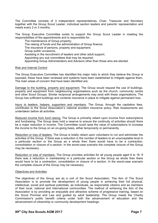The Committee consists of 3 independent representatives, Chair, Treasurer and Secretary together with the Group Scout Leader, individual section leaders and parents' representation and meets every 2 or 3 months.

The Group Executive Committee exists to support the Group Scout Leader in meeting the responsibilities of the appointments and is responsible for:

The maintenance of Group property; The raising of funds and the administration of Group finance; The insurance of persons, property and equipment; Group public occasions; Assisting in the recruitment of leaders and other adult support; Appointing any sub committees that may be required; Appointing Group Administrators and Advisors other than those who are elected.

#### Risk and Internal Control

The Group Executive Committee has identified the major risks to which they believe the Group is exposed, these have been reviewed and systems have been established to mitigate against them. The main areas of concern that have been identified are:

Damage to the building, property and equipment. The Group would request the use of buildings, property and equipment from neighbouring organisations such as the church, community centre and other Scout Groups. Similar reciprocal arrangements may exist with these organisations. The Group has sufficient buildings and contents insurance in place to mitigate against permanent loss.

Injury to leaders, helpers, supporters and members. The Group, through the capitation fees, contributes to the Scout Association's national accident insurance policy. Risk Assessments are undertaken before all activities.

Reduced income from fund raising. The Group is primarily reliant upon income from subscriptions and fundraising. The Group does hold a reserve to ensure the continuity of activities should there be a major reduction in income. The Committee could raise the value of subscriptions to increase the income to the Group on an on-going basis, either temporarily or permanently.

Reduction or loss of leaders. The Group is totally reliant upon volunteers to run and administer the activities of the Group. If there was a reduction in the number of leaders to an unacceptable level in a particular section or the Group as a whole then there would have to be a contraction, consolidation or closure of a section. In the worst-case scenario the complete closure of the Group may be necessary.

Reduction or loss of members. The Group provides activities for all young people aged 6 to 18. If there was a reduction in membership in a particular section or the Group as whole then there would have to be a contraction, consolidation or closure of a section. In the worst-case scenario the complete closure of the Group may be necessary.

### Objectives and Activities

The objectives of the Group are as a unit of the Scout Association. The Aim of The Scout Association is to promote the development of young people in achieving their full physical, intellectual, social and spiritual potentials, as individuals, as responsible citizens and as members of their local, national and international communities. The method of achieving the Aim of the Association is by providing an enjoyable and attractive scheme of progressive training, based on the Scout Promise and Law and guided by adult leadership. The Group meets the Charity Commission's public benefit criteria under both the advancement of education and the advancement of citizenship or community development headings.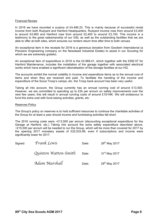#### Financial Review

In 2016 we have recorded a surplus of £4,495.23. This is mainly because of successful rental income from both Rudyard and Hanford Headquarters. Rudyard income rose from around £3,400 to around £4,900 and Hanford rose from around £2,400 to around £3,150. This income is a testimony to the great salesmanship of our GSL as well as the outstanding facilities that we are able to offer at both sites, which ensures our renters return time after time to both venues.

An exceptional item in the receipts for 2016 is a generous donation from Goodwin International (a Precision Engineering company on the Newstead Industrial Estate) to assist in our Scouting for which we are extremely grateful.

An exceptional item of expenditure in 2016 is the £4,968.41, which together with the £592.57 for Hanford Maintenance, includes the installation of the garage together with associated electrical works which have enabled a significant rationalisation of the storage facilities at our HQ.

The accounts exhibit the normal volatility in income and expenditure items as to the annual cost of items and when they are received and paid. To facilitate the handling of the income and expenditure of the Scout Troop's camps, etc. the Troop bank account has been very useful.

Taking all into account, the Group currently has an annual running cost of around £13,500. However, we are committed to spending up to £2k per annum on safety improvements over the next few years; this will result in annual running costs of around £15/16K. We will endeavour to fund this extra cost with fund-raising activities, grants, etc.

#### Reserves Policy

The Group's policy on reserves is to hold sufficient resources to continue the charitable activities of the Group for at least a year should income and fundraising activities fall short.

The 2016 running costs were ~£13,500 per annum (discounting exceptional expenditure for the Garage at Hanford, etc.) Taking into account the extra safety expenditure described above, ~£15,500 per annum will be needed to run the Group, which will be more than covered for 2017 by the opening 2017 monetary assets of £22,033.99, even if subscriptions and income were significantly lower for 2017.

| Signed: | Frank Lewis          | Date: | 29 <sup>th</sup> May 2017 |
|---------|----------------------|-------|---------------------------|
|         | Quinton Watton-Smith | Date: | 31 <sup>st</sup> May 2017 |
|         | Adam Marshall        | Date: | 29 <sup>th</sup> May 2017 |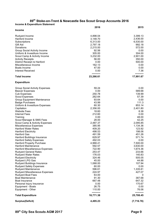### **89th Stoke-on-Trent & Newcastle Sea Scout Group Accounts 2016**

| <b>Income &amp; Expenditure Statement</b>                       |                      |                   |
|-----------------------------------------------------------------|----------------------|-------------------|
| <b>Income</b>                                                   | 2016                 | 2015              |
| Rudyard Income                                                  | 4,898.04             | 3,399.13          |
| Hanford Income                                                  | 3,148.70             | 2,436.00          |
| Subscriptions                                                   | 6,313.00             | 6,530.00          |
| Gift Aid                                                        | 2,797.18             | 992.18            |
| Donations                                                       | 2,215.00             | 572.00            |
| Group Social Activity Income                                    | 92.56                | 0.00              |
| Uniform & Investiture Income                                    | 305.00               | 304.00            |
| Scout Camp & Activity Income                                    | 3,232.00             | 2,901.00          |
| <b>Activity Receipts</b>                                        | 56.00                | 350.00            |
| District Receipt re Hanford                                     | 0.00                 | 500.00            |
| Miscellaneous Income                                            | 162.13               | 0.00              |
| Boats Income                                                    | 47.00                | 0.00              |
| <b>Interest Received</b>                                        | 0.00<br>----------   | 7.36              |
| <b>Total Income</b>                                             | 23,266.61            | 17,991.67         |
| <b>Expenditure</b>                                              |                      |                   |
| <b>Group Social Activity Expenses</b>                           | 59.24                | 0.00              |
| <b>Beaver Expenses</b>                                          | 0.00                 | 589.68            |
| <b>Cub Expenses</b>                                             | 250.78               | 139.99            |
| <b>Scout Expenses</b>                                           | 262.64               | 57.39             |
| Group Equipment Maintenance                                     | 93.64                | 0.00              |
| <b>Badge Purchases</b>                                          | 43.99                | 111.3             |
| Uniform & Investiture Expenses                                  | 60.30                | 853.14            |
| Capitation                                                      | 2,356.00             | 2,401.80          |
| <b>Website Fees</b>                                             | 18.60                | 8.38              |
| <b>Internet Fees</b>                                            | 212.60               | 0.00              |
| Training                                                        | 0.00                 | 48.00             |
| Scout Manager & SMS Fees                                        | 28.00                | 42.25<br>2,095.85 |
| Scout Camp & Activity Expenses<br><b>Miscellaneous Expenses</b> | 2,487.37<br>385.95   | 1,134.36          |
| <b>Hanford Water Rates</b>                                      | 409.20               | 123.92            |
| <b>Hanford Electricity</b>                                      | 498.53               | 198.06            |
| <b>Hanford Gas</b>                                              | 491.59               | 451.26            |
| Hanford Buildings Insurance                                     | 629.97               | 571.74            |
| <b>Hanford Safety Expenses</b>                                  | 492.03               | 0.00              |
| <b>Hanford Property Purchase</b>                                | 4,968.41             | 7,500.00          |
| <b>Hanford Maintenance</b>                                      | 592.57               | 3,630.00          |
| Hanford Miscellaneous Expenses                                  | 722.90               | 1,674.36          |
| <b>Rudyard General Rates</b>                                    | 253.47               | 233.66            |
| <b>Rudyard Water Rates</b>                                      | 176.03               | 140.83            |
| <b>Rudyard Electricity</b>                                      | 324.46               | 505.05            |
| Rudyard LPG Gas                                                 | 45.00                | 44.88             |
| Rudyard Buildings Insurance                                     | 1,068.00             | 107.94            |
| <b>Rudyard Safety Expenses</b>                                  | 60.00                | 0.00              |
| Rudyard Maintenance                                             | 596.61               | 1,335.81          |
| Rudyard Miscellaneous Expenses                                  | 224.97               | 427.07            |
| <b>Rudyard Boat Fees</b>                                        | 63.00                | 0                 |
| <b>Boat Maintenance</b>                                         | 91.30                | 387.68            |
| Boat Insurance                                                  | 667.48               | 647.32            |
| Personal Injury Insurance                                       | 0.00                 | 170.67            |
| Equipment - Boats                                               | 26.75                | 0.00              |
| Equipment - Other                                               | 110.00<br>---------- | 76.06             |
| <b>Total Expenditure</b>                                        | 18,771.38            | 25,708.45         |
| <b>Surplus(Deficit)</b>                                         | 4,495.23             | (7,716.78)        |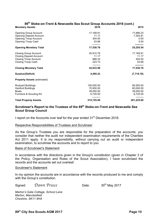### **89th Stoke-on-Trent & Newcastle Sea Scout Group Accounts 2016 (cont.)**

| <b>Monetary Assets</b>             | 2016                    | 2015                     |
|------------------------------------|-------------------------|--------------------------|
| <b>Opening Group Account</b>       | 17,169.91               | 17,886.23                |
| <b>Opening Deposit Account</b>     | 11.17                   | 7,363.81                 |
| <b>Opening Troop Account</b>       | 304.00                  | 0.00                     |
| Opening Troop Cash                 | 53.68                   | 5.50                     |
| <b>Opening Monetary Total</b>      | ----------<br>17,538.76 | ----------<br>25,255.54  |
| <b>Closing Group Account</b>       | 20,910.76               | 17,169.91                |
| <b>Closing Deposit Account</b>     | 11.17                   | 11.17                    |
| <b>Closing Troop Account</b>       | 888.33                  | 304.00                   |
| Closing Troop Cash                 | 223.73                  | 53.68                    |
| <b>Closing Monetary Total</b>      | 22,033.99               | 17,538.76                |
| <b>Surplus/(Deficit)</b>           | 4,495.23                | (7,716.78)               |
| <b>Property Assets (estimated)</b> |                         |                          |
| <b>Rudyard Buildings</b>           | 100,000.00              | 95,500.00                |
| <b>Hanford Buildings</b>           | 70,000.00               | 60,000.00                |
| <b>Boats</b>                       | 39,000.00               | 39,000.00                |
| Furniture & Scouting Kit           | 6,725.00                | 6,725.00                 |
| <b>Total Property Assets</b>       | 215,725.00              | ----------<br>201,225.00 |

### **Scrutineer's Report to the Trustees of the 89th Stoke-on-Trent and Newcastle Sea Scout Group Council**

I report on the Accounts over leaf for the year ended 31<sup>st</sup> December 2016.

### Respective Responsibilities of Trustees and Scrutineer

As the Group's Trustees you are responsible for the preparation of the accounts; you consider that neither the audit nor independent examination requirements of the Charities Act 2011 apply. It is my responsibility, without carrying out an audit or independent examination, to scrutinise the accounts and to report to you.

#### Basis of Scrutineer's Statement

In accordance with the directions given in the Group's constitution (given in Chapter 3 of the Policy, Organisation and Rules of the Scout Association), I have scrutinised the records and the accounts set out overleaf.

#### Scrutineer's Statement

In my opinion the accounts are in accordance with the records produced to me and comply with the Group's constitution.

Signed: *Dawn Preece* Date: 30<sup>th</sup> May 2017

*Marton's Gate Cottage, School Lane Marton, Macclesfield Cheshire, SK11 9HA*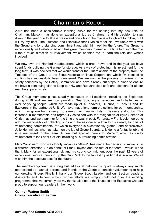# Chairman's Report

2016 has been a considerable learning curve for me settling into my new role as Chairman. Malcolm has done an exceptional job as Chairman and his decision to step down in the year due to illness was a sad one - filling the role is a tough act to follow, but I will try my best. The Trustees and Executive thank Malcolm for his invaluable work with the Group and long standing commitment and wish him well for the future. The Group is exceptionally well established and has great members to enable me time to fit into the role without much direction or involvement, which enables me to learn the role and what's involved.

We now own the Hanford Headquarters, which is great news and in the year we have spent funds building the Garage for storage. As a way of protecting this investment for the long term, it was decided that we would transfer the Guardianship of the property from the Trustees of the Group to the Scout Association Trust Corporation, which I'm pleased to confirm has successfully been transferred. We are now in the process of reviewing the safety concerns by the Safety Committee and have already put steps in place to ensure we have a continuing plan to keep our HQ and Rudyard sites safe and pleasant for all our members, parents, etc.

The Group membership has steadily increased in all sections (including the Explorers) during 2016 and we are now providing Sea Scouting experiences and challenges to over 72 young people, which are made up of 15 beavers, 26 cubs, 19 scouts and 12 Explorers in the partnered Unit. We have made long-term projections for our membership, which has grown from strength to strength with waiting lists in Beavers and Cubs. This increase in membership has regretfully coincided with the resignation of Kylie Salmon at Christmas and we thank her for the time she was in post. Fortunately Frank volunteered to add the responsibly of collecting subs and the associated admin to his already long list of volunteering commitments, for which everyone is exceptionally grateful and appreciative. Julie Hemmings, who has taken on the job of Group Secretary, is doing a fantastic job and is a real asset to the team. A final but special thanks to Malcolm, who has kindly volunteered to look after Gift Aid including all surrounding administration.

Mark Woodward, who was fondly known as "Akela", has made the decision to move on in a different direction, So on behalf of Frank, myself and the rest of the team, I would like to thank Mark for an exceptional job and his strong commitment over the past 12 years of exceptional service, building up the Cub Pack to the fantastic position it is in now. We all wish him the absolute best for the future.

The membership team is strong but additional help and support is always very much appreciated so I ask all parents and friends of the Group to consider volunteering to help our growing Group. Finally I thank our Group Scout Leader and our Section Leaders, Assistants and Helpers without whose efforts we simply could not offer the exciting programme that we currently do; my thanks also go to the Trustees and Executive who are proud to support our Leaders in their work.

### **Quinton Watton-Smith Group Executive Chairman**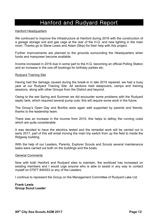## Hanford and Rudyard Report

### Hanford Headquarters

We continued to improve the infrastructure at Hanford during 2016 with the construction of a garage storage unit and gas cage at the rear of the H.Q. and new lighting in the main room. Thanks go to Steve Lewis and Adam (Skip) for their help with this project.

Further improvements are planned to the grounds surrounding the Headquarters when funds and manpower become available.

Income increased in 2016 due in some part to the H.Q. becoming an official Polling Station and an increase in the one off bookings for birthday parties etc.

### Rudyard Training Site

Having had the damage caused during the break-in in late 2015 repaired, we had a busy year at our Rudyard Training Site. All sections held sleepovers, camps and training sessions, along with other Groups from the District and beyond.

Owing to the wet Spring and Summer we did encounter some problems with the Rudyard septic tank, which required several pump outs; this will require some work in the future.

The Group's Open Day and Bonfire were again well supported by parents and friends, thanks to the leadership team.

There was an increase in the income from 2015, this helps to defray the running costs which are quite considerable.

It was decided to have the electrics tested and the remedial work will be carried out in early 2017, part of this will entail moving the main trip switch from up the field to inside the Ridgway building.

With the help of our Leaders, Parents, Explorer Scouts and Scouts several maintenance tasks were carried out both on the buildings and the boats.

### General Comments

Now with both Hanford and Rudyard sites to maintain, the workload has increased on existing members and I would urge anyone who is able to assist in any way to contact myself on 07977 849353 or any of the Leaders.

I continue to represent the Group on the Management Committee of Rudyard Lake Ltd.

**Frank Lewis Group Scout Leader**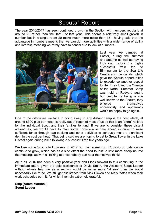## Scouts' Report

The year 2016/2017 has seen continued growth in the Section with numbers regularly at around 20 rather than the 15/16 of last year. This seems a relatively small growth in number but in a single room 20 make much more noise than 15 - having said that the advantage in numbers means that we can do more activities with a wider range of ability and interest, meaning we rarely have to cancel due to lack of numbers.



Last year we camped at Easter, during the summer and autumn as well as having trips out, including a highly successful train trip to Birmingham to the Sea Life Centre and the canals, which gave the Scouts opportunities to experience another aspect to life. They loved the "Venice of the North!" Summer Camp was held at Rudyard again, but despite its being a site well known to the Scouts, they enjoyed themselves enormously and apparently would be happy to go again.

One of the difficulties we face in going away to any distant camp is the cost which, at around £300 plus per head, is really out of reach of most of us as this is an "extra" holiday for the individual Scout and their families to fund. If we are to consider these distant adventures, we would have to plan some considerable time ahead in order to raise sufficient funds through bag-packing and other activities to seriously make a significant dent in the cost per head. That being said we are hoping to get to Great Tower in the Lake District again during 2017 following a successful trip five years ago.

We lose some Scouts to Explorers in 2017 but gain some from Cubs so on balance we continue to grow, which has as a side effect the need to instil a little more discipline into the meetings as with all talking at once nobody can hear themselves think!

All in all, 2016 has been a very positive year and I look forward to this continuing in the immediate future given the able assistance of David Smith, the Assistant Scout Leader without whose help we as a section would be rather more "at sea" than we would necessarily like to be. We still get assistance from Nick Dicken and Mark Yates when their work schedules permit, for which I remain extremely grateful.

**Skip (Adam Marshall) Scout Leader**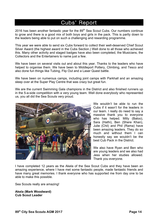## Cubs' Report

2016 has been another fantastic year for the  $89<sup>th</sup>$  Sea Scout Cubs. Our numbers continue to grow and there is a good mix of both boys and girls in the pack. This is partly down to the leaders being able to put on such a challenging and rewarding programme.

This year we were able to send six Cubs forward to collect their well-deserved Chief Scout Silver Award (the highest award in the Cubs Section.) Well done to all those who achieved this. Many other activity and staged badges have also been completed, the Musicians, the Collectors and the Entertainers to name just a few.

We have been on several visits out and about this year. Thanks to the leaders who have helped to organise them. We have been to Middleport Pottery, Climbing, and Tesco and also done fun things like Tubing, Flip Out and a Laser Quest battle.

We have been on numerous camps, including joint camps with Parkhall and an amazing sleep over at the Super Play Centre that was crazy but great fun.

We are the current Swimming Gala champions in the District and also finished runners up in the 5-a-side competition with a very young team. Well done everybody who represented us, you all did the Sea Scouts very proud.



We wouldn't be able to run the Cubs if it wasn't for the leaders in our team. I really do need to say a massive thank you to everyone who has helped. Milly (Baloo), Sara (Hathi), Ben (Shere Khan), Julie (Chil) and Phil (Rama) have been amazing leaders. They do so much and without them I can honestly say we wouldn't be the best Cub Pack in the District.

We also have Ryan and Ben who are young leaders and we also had Jess when her studies allowed. Thank you everyone.

I have completed 12 years as the Akela of the Sea Scout Cubs and they have been an amazing experience, where I have met some fantastic people, made fantastic friends and have many great memories. I thank everyone who has supported me from day one to be able to make this possible.

Sea Scouts really are amazing!

**Akela (Mark Woodward) Cub Scout Leader**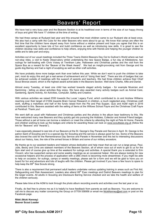### Beavers' Report

We have had a very busy year and the Beavers Section is at its healthiest ever in terms of the size of our happy throng of boys and girls! We have 17 children at the time of writing.

We had three camps at Rudyard last year and this ensured that most children came to our Rudyard site at least once. We also had a camp with the Cubs for the older Beavers who were about to go up. We know that camps are often the first time that the children have stayed away from home without a relative present and hope you agree that this is an excellent opportunity to have lots of fun and build confidence as well as introducing new skills. It is great to see the children develop new skills and confidence to help others, enjoying time with friends and helping the younger children to settle and to take part and enjoy.

Activities out of our usual meetings included the Three Towns District Beavers Day Out to Gulliver's World where we had non-stop rides, a visit to Keele Observatory whilst undertaking the new Space Badge, a fun day at Kibblestone, two outings for bell-boating with Chris Voisey at Trentham Lake, Halloween and Christmas parties and the visit from the Space Bus as a reward for the "Beaver of the Week Award". We had an insight-provoking visit from George and his guide dog Barney and had a night of sculpting as well as other craft activities.

We have probably done more badge work than ever before this year. While we don't want to push the children to take part, most do enjoy this and get a real sense of achievement and of "doing their best". There are lots of badges that can be achieved outside of meetings with the support of parents and teachers. We had three children achieve their Chief Scout Bronze award, which is the highest award achievable in the Beavers Section. Well done Charlie, Alfie and Daniel.

Almost every Tuesday, at least one child has worked towards staged activity badges - for example Musician and Swimming - telling us about activities they enjoy. We have also awarded many activity badges such as Animal Care, Gardening, Sports Activity, Air Activities, Computer, Safety and Creative.

With various activities we raised £550 towards the Lucas' Legacy Fund, which contributed to Jo and Andrew Williams reaching over their target of £100k towards Brain Cancer Research in children, a much neglected area. Christmas craft work, stuffing a matchbox and half of the funds raised from the Pie and Pea Supper, Quiz and AGM night in 2016 contributed to this. Beavers assisted with the selling of items at the Willows School Fayre and the Christmas Craft Fayre at Penkhull. Thank you!

We went daft as usual with Halloween and Christmas parties and the photos in the album bear testimony to this. We have welcomed many new Beavers and they quickly get into pursuing the Hobbies, Collector and Animal Friend badges. Those without a pet at home can borrow a relative's or meet the criteria by attending the night at Pets At Home. Parents and children wishing to look up the badges and criteria for awarding these can look on www.scoutbase.org.uk (follow the link for "Beavers" and "Awards").

I was especially pleased to see lots of our Beavers at the St. George's Day Parade and Service in April. St. George is the patron Saint of Scouting and it is a special day for Scouting and the service is always good fun too. Some of the Beavers also braved the cold for the Remembrance Day Service and Parade in November and this led to interesting discussions about our history, loss, the role of the armed forces in Britain and some of our military ancestors.

My thanks go to our assistant leaders and helpers whose dedication and help mean that we can run a large group. Paul, Julie, Becky and Chris are stalwart members of the Beavers Section, all of whom race out of work to get to us for the 6pm start and of course give up time at the weekend for outings and activities. A special thank you is extended to Erin Vincent, who has supported camps and some weekly meetings as an occasional helper. We are always looking for new occasional helpers and the process of application with a DBS check is becoming more streamlined. If you might be able to help on occasion, for outings, camps or weekly meetings, please ask for a form and we will be glad to have you on board for fun and adventure and lots of laughs with the children. Please get involved if you have a few hours to spare to help keep the 89<sup>th</sup> Sea Scouts strong.

There is also a requirement that permanent adult leaders undertake various updating training in areas such as First Aid, Safeguarding and Risk Assessment. Leaders also attend 89<sup>th</sup> Exec meetings and District Beavers meetings to plan for the larger events. All adults in Scouting are Disclosure Barring Service checked and we take the health and welfare of the children seriously.

Please take time at the AGM to look through the photo album recording events and activities over the last year or so.

Finally, do feel free to phone me as it is helpful to have feedback from parents as well as Beavers. You are welcome to call me to discuss any matter concerning the Group on 07709 558956 or email me NickiKenney@aol.com or post on the Facebook page.

**Rikki (Nicki Kenney) Beaver Scout Leader**